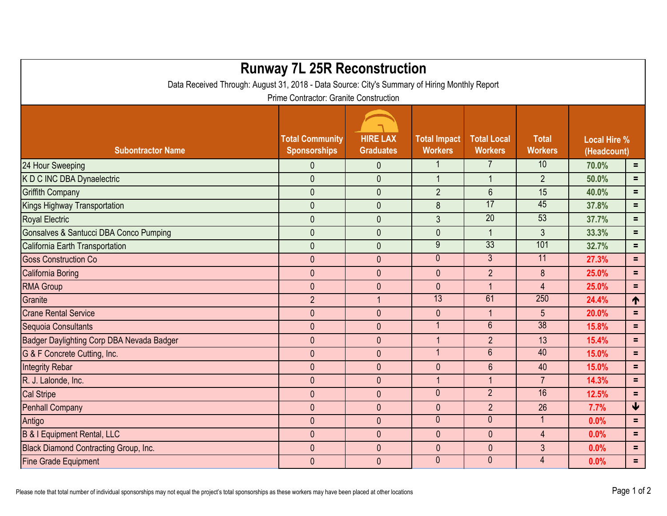| <b>Runway 7L 25R Reconstruction</b><br>Data Received Through: August 31, 2018 - Data Source: City's Summary of Hiring Monthly Report<br>Prime Contractor: Granite Construction |                                               |                                     |                                       |                                      |                                |                                    |                 |  |  |  |  |
|--------------------------------------------------------------------------------------------------------------------------------------------------------------------------------|-----------------------------------------------|-------------------------------------|---------------------------------------|--------------------------------------|--------------------------------|------------------------------------|-----------------|--|--|--|--|
| <b>Subontractor Name</b>                                                                                                                                                       | <b>Total Community</b><br><b>Sponsorships</b> | <b>HIRE LAX</b><br><b>Graduates</b> | <b>Total Impact</b><br><b>Workers</b> | <b>Total Local</b><br><b>Workers</b> | <b>Total</b><br><b>Workers</b> | <b>Local Hire %</b><br>(Headcount) |                 |  |  |  |  |
| 24 Hour Sweeping                                                                                                                                                               | $\mathbf{0}$                                  | 0                                   |                                       | $\overline{7}$                       | 10                             | 70.0%                              | $\equiv$        |  |  |  |  |
| K D C INC DBA Dynaelectric                                                                                                                                                     | $\mathbf{0}$                                  | $\mathbf{0}$                        | $\mathbf 1$                           | $\mathbf{1}$                         | $\overline{2}$                 | 50.0%                              | $=$             |  |  |  |  |
| <b>Griffith Company</b>                                                                                                                                                        | $\mathbf{0}$                                  | $\mathbf{0}$                        | $\overline{2}$                        | $6\phantom{1}$                       | 15                             | 40.0%                              | $=$             |  |  |  |  |
| Kings Highway Transportation                                                                                                                                                   | $\mathbf{0}$                                  | $\overline{0}$                      | 8                                     | 17                                   | 45                             | 37.8%                              | $=$             |  |  |  |  |
| <b>Royal Electric</b>                                                                                                                                                          | $\mathbf{0}$                                  | $\overline{0}$                      | $\overline{3}$                        | $\overline{20}$                      | 53                             | 37.7%                              | $=$             |  |  |  |  |
| Gonsalves & Santucci DBA Conco Pumping                                                                                                                                         | $\mathbf 0$                                   | $\overline{0}$                      | $\mathbf{0}$                          | $\mathbf{1}$                         | $\mathfrak{Z}$                 | 33.3%                              | $=$             |  |  |  |  |
| California Earth Transportation                                                                                                                                                | $\mathbf{0}$                                  | $\overline{0}$                      | $\overline{9}$                        | 33                                   | 101                            | 32.7%                              | $=$             |  |  |  |  |
| <b>Goss Construction Co</b>                                                                                                                                                    | $\mathbf{0}$                                  | $\overline{0}$                      | $\overline{0}$                        | $\overline{3}$                       | 11                             | 27.3%                              | $=$             |  |  |  |  |
| California Boring                                                                                                                                                              | $\mathbf{0}$                                  | $\overline{0}$                      | $\overline{0}$                        | $\overline{2}$                       | $\bf 8$                        | 25.0%                              | $=$             |  |  |  |  |
| <b>RMA Group</b>                                                                                                                                                               | $\mathbf{0}$                                  | $\overline{0}$                      | $\overline{0}$                        | $\overline{1}$                       | $\overline{4}$                 | 25.0%                              | $\equiv$        |  |  |  |  |
| Granite                                                                                                                                                                        | $\overline{2}$                                | $\overline{1}$                      | $\overline{13}$                       | 61                                   | 250                            | 24.4%                              | ↑               |  |  |  |  |
| <b>Crane Rental Service</b>                                                                                                                                                    | $\mathbf{0}$                                  | $\mathbf{0}$                        | $\mathbf{0}$                          | $\overline{1}$                       | $\overline{5}$                 | 20.0%                              | $\equiv$        |  |  |  |  |
| Sequoia Consultants                                                                                                                                                            | $\mathbf{0}$                                  | $\overline{0}$                      |                                       | $6\phantom{1}$                       | $\overline{38}$                | 15.8%                              | $=$             |  |  |  |  |
| Badger Daylighting Corp DBA Nevada Badger                                                                                                                                      | $\mathbf{0}$                                  | $\overline{0}$                      | $\mathbf 1$                           | $\overline{2}$                       | 13                             | 15.4%                              | $=$             |  |  |  |  |
| G & F Concrete Cutting, Inc.                                                                                                                                                   | $\mathbf{0}$                                  | $\overline{0}$                      |                                       | $6\phantom{1}$                       | 40                             | 15.0%                              | $=$             |  |  |  |  |
| Integrity Rebar                                                                                                                                                                | $\mathbf{0}$                                  | $\mathbf{0}$                        | $\mathbf{0}$                          | $6\phantom{1}$                       | 40                             | 15.0%                              | $=$             |  |  |  |  |
| R. J. Lalonde, Inc.                                                                                                                                                            | $\mathbf{0}$                                  | $\mathbf{0}$                        | 1                                     | $\mathbf 1$                          | $\overline{7}$                 | 14.3%                              | $=$             |  |  |  |  |
| Cal Stripe                                                                                                                                                                     | $\mathbf{0}$                                  | $\overline{0}$                      | $\overline{0}$                        | $\overline{2}$                       | 16                             | 12.5%                              | $=$             |  |  |  |  |
| <b>Penhall Company</b>                                                                                                                                                         | $\mathbf{0}$                                  | $\mathbf{0}$                        | $\overline{0}$                        | $\overline{2}$                       | 26                             | 7.7%                               | $\blacklozenge$ |  |  |  |  |
| Antigo                                                                                                                                                                         | $\mathbf{0}$                                  | $\overline{0}$                      | $\mathbf 0$                           | $\pmb{0}$                            | $\mathbf{1}$                   | 0.0%                               | $=$             |  |  |  |  |
| B & I Equipment Rental, LLC                                                                                                                                                    | $\mathbf{0}$                                  | $\mathbf{0}$                        | $\mathbf{0}$                          | $\mathbf{0}$                         | $\overline{4}$                 | 0.0%                               | $=$             |  |  |  |  |
| Black Diamond Contracting Group, Inc.                                                                                                                                          | $\mathbf{0}$                                  | $\mathbf{0}$                        | $\mathbf 0$                           | $\pmb{0}$                            | $\mathfrak{Z}$                 | 0.0%                               | $=$             |  |  |  |  |
| <b>Fine Grade Equipment</b>                                                                                                                                                    | $\mathbf{0}$                                  | $\mathbf{0}$                        | $\overline{0}$                        | $\overline{0}$                       | $\overline{4}$                 | 0.0%                               | $\equiv$        |  |  |  |  |